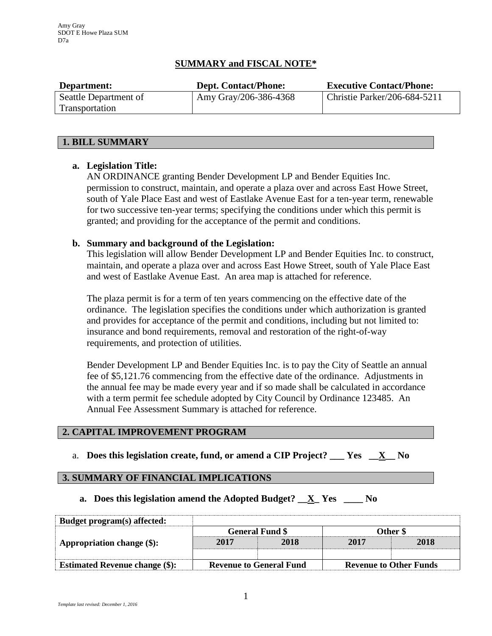# **SUMMARY and FISCAL NOTE\***

| Department:           | <b>Dept. Contact/Phone:</b> | <b>Executive Contact/Phone:</b> |
|-----------------------|-----------------------------|---------------------------------|
| Seattle Department of | Amy Gray/206-386-4368       | Christie Parker/206-684-5211    |
| Transportation        |                             |                                 |

### **1. BILL SUMMARY**

# **a. Legislation Title:**

AN ORDINANCE granting Bender Development LP and Bender Equities Inc. permission to construct, maintain, and operate a plaza over and across East Howe Street, south of Yale Place East and west of Eastlake Avenue East for a ten-year term, renewable for two successive ten-year terms; specifying the conditions under which this permit is granted; and providing for the acceptance of the permit and conditions.

# **b. Summary and background of the Legislation:**

This legislation will allow Bender Development LP and Bender Equities Inc. to construct, maintain, and operate a plaza over and across East Howe Street, south of Yale Place East and west of Eastlake Avenue East. An area map is attached for reference.

The plaza permit is for a term of ten years commencing on the effective date of the ordinance. The legislation specifies the conditions under which authorization is granted and provides for acceptance of the permit and conditions, including but not limited to: insurance and bond requirements, removal and restoration of the right-of-way requirements, and protection of utilities.

Bender Development LP and Bender Equities Inc. is to pay the City of Seattle an annual fee of \$5,121.76 commencing from the effective date of the ordinance. Adjustments in the annual fee may be made every year and if so made shall be calculated in accordance with a term permit fee schedule adopted by City Council by Ordinance 123485. An Annual Fee Assessment Summary is attached for reference.

#### **2. CAPITAL IMPROVEMENT PROGRAM**

a. **Does this legislation create, fund, or amend a CIP Project? \_\_\_ Yes \_\_X\_\_ No**

### **3. SUMMARY OF FINANCIAL IMPLICATIONS**

**a. Does this legislation amend the Adopted Budget? \_\_X\_ Yes \_\_\_\_ No**

| Budget program(s) affected:           |                                |      |                               |      |
|---------------------------------------|--------------------------------|------|-------------------------------|------|
|                                       | <b>General Fund \$</b>         |      | Other \$                      |      |
| Appropriation change (\$):            | 2017                           | 2018 | 2017                          | 2018 |
|                                       |                                |      |                               |      |
| <b>Estimated Revenue change (\$):</b> | <b>Revenue to General Fund</b> |      | <b>Revenue to Other Funds</b> |      |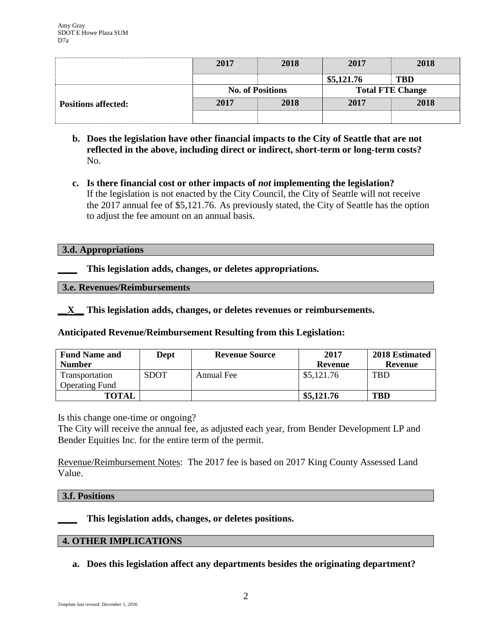|                            | 2017                    | 2018 | 2017                    | 2018       |
|----------------------------|-------------------------|------|-------------------------|------------|
|                            |                         |      | \$5,121.76              | <b>TBD</b> |
|                            | <b>No. of Positions</b> |      | <b>Total FTE Change</b> |            |
| <b>Positions affected:</b> | 2017                    | 2018 | 2017                    | 2018       |
|                            |                         |      |                         |            |

- **b. Does the legislation have other financial impacts to the City of Seattle that are not reflected in the above, including direct or indirect, short-term or long-term costs?** No.
- **c. Is there financial cost or other impacts of** *not* **implementing the legislation?** If the legislation is not enacted by the City Council, the City of Seattle will not receive the 2017 annual fee of \$5,121.76. As previously stated, the City of Seattle has the option to adjust the fee amount on an annual basis.

### **3.d. Appropriations**

**\_\_\_\_ This legislation adds, changes, or deletes appropriations.**

**3.e. Revenues/Reimbursements**

**\_\_X\_\_ This legislation adds, changes, or deletes revenues or reimbursements.**

**Anticipated Revenue/Reimbursement Resulting from this Legislation:**

| <b>Fund Name and</b>  | Dept        | <b>Revenue Source</b> | 2017       | 2018 Estimated |
|-----------------------|-------------|-----------------------|------------|----------------|
| <b>Number</b>         |             |                       | Revenue    | Revenue        |
| Transportation        | <b>SDOT</b> | Annual Fee            | \$5,121.76 | <b>TBD</b>     |
| <b>Operating Fund</b> |             |                       |            |                |
| <b>TOTAL</b>          |             |                       | \$5,121.76 | <b>TBD</b>     |

Is this change one-time or ongoing?

The City will receive the annual fee, as adjusted each year, from Bender Development LP and Bender Equities Inc. for the entire term of the permit.

Revenue/Reimbursement Notes: The 2017 fee is based on 2017 King County Assessed Land Value.

# **3.f. Positions**

**\_\_\_\_ This legislation adds, changes, or deletes positions.**

# **4. OTHER IMPLICATIONS**

**a. Does this legislation affect any departments besides the originating department?**